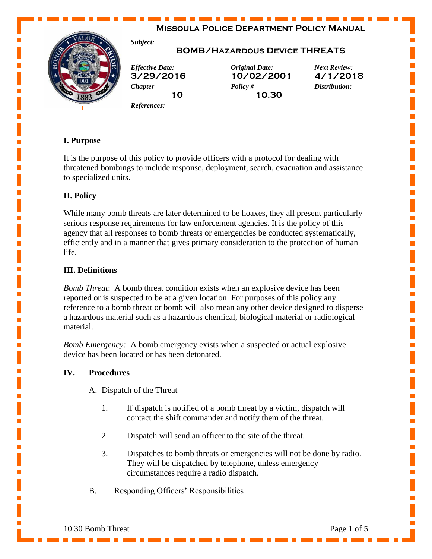| Subject:<br><b>BOMB/HAZARDOUS DEVICE THREATS</b> |                                     |                                 |  |  |
|--------------------------------------------------|-------------------------------------|---------------------------------|--|--|
| <b>Effective Date:</b><br>3/29/2016              | <b>Original Date:</b><br>10/02/2001 | <b>Next Review:</b><br>4/1/2018 |  |  |
| <b>Chapter</b><br>10                             | Policy $#$<br>10.30                 | Distribution:                   |  |  |

## **I. Purpose**

It is the purpose of this policy to provide officers with a protocol for dealing with threatened bombings to include response, deployment, search, evacuation and assistance to specialized units.

## **II. Policy**

While many bomb threats are later determined to be hoaxes, they all present particularly serious response requirements for law enforcement agencies. It is the policy of this agency that all responses to bomb threats or emergencies be conducted systematically, efficiently and in a manner that gives primary consideration to the protection of human life.

## **III. Definitions**

*Bomb Threat*: A bomb threat condition exists when an explosive device has been reported or is suspected to be at a given location. For purposes of this policy any reference to a bomb threat or bomb will also mean any other device designed to disperse a hazardous material such as a hazardous chemical, biological material or radiological material.

*Bomb Emergency:* A bomb emergency exists when a suspected or actual explosive device has been located or has been detonated.

#### **IV. Procedures**

- A. Dispatch of the Threat
	- 1. If dispatch is notified of a bomb threat by a victim, dispatch will contact the shift commander and notify them of the threat.
	- 2. Dispatch will send an officer to the site of the threat.
	- 3. Dispatches to bomb threats or emergencies will not be done by radio. They will be dispatched by telephone, unless emergency circumstances require a radio dispatch.
- B. Responding Officers' Responsibilities

Ē,

Ē,

L.

Ē,

L.

L.

п

L.

L.

п

п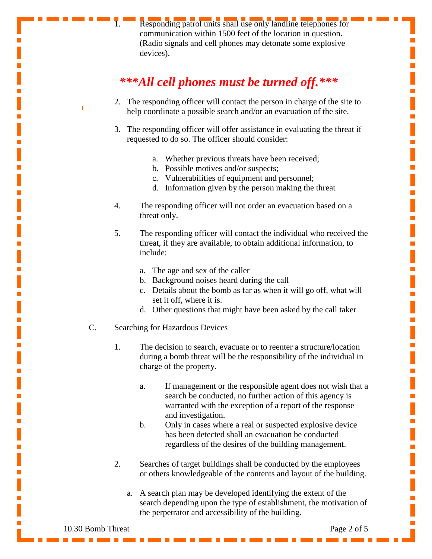Responding patrol units shall use only landline telephones for communication within 1500 feet of the location in question. (Radio signals and cell phones may detonate some explosive devices).

# *\*\*\*All cell phones must be turned off.\*\*\**

- 2. The responding officer will contact the person in charge of the site to help coordinate a possible search and/or an evacuation of the site.
- 3. The responding officer will offer assistance in evaluating the threat if requested to do so. The officer should consider:
	- a. Whether previous threats have been received;
	- b. Possible motives and/or suspects;
	- c. Vulnerabilities of equipment and personnel;
	- d. Information given by the person making the threat
- 4. The responding officer will not order an evacuation based on a threat only.
- 5. The responding officer will contact the individual who received the threat, if they are available, to obtain additional information, to include:
	- a. The age and sex of the caller
	- b. Background noises heard during the call
	- c. Details about the bomb as far as when it will go off, what will set it off, where it is.
	- d. Other questions that might have been asked by the call taker
- C. Searching for Hazardous Devices
	- 1. The decision to search, evacuate or to reenter a structure/location during a bomb threat will be the responsibility of the individual in charge of the property.
		- a. If management or the responsible agent does not wish that a search be conducted, no further action of this agency is warranted with the exception of a report of the response and investigation.
		- b. Only in cases where a real or suspected explosive device has been detected shall an evacuation be conducted regardless of the desires of the building management.
	- 2. Searches of target buildings shall be conducted by the employees or others knowledgeable of the contents and layout of the building.
		- a. A search plan may be developed identifying the extent of the search depending upon the type of establishment, the motivation of the perpetrator and accessibility of the building.

10.30 Bomb Threat Page 2 of 5

 $\blacksquare$ 

L.

п

п

L.

Ē.

п

п

п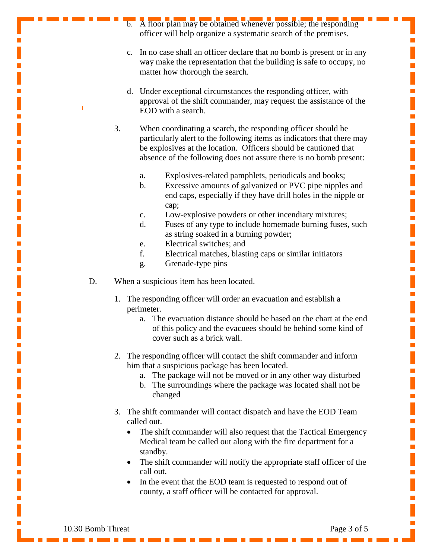- b. A floor plan may be obtained whenever possible; the responding officer will help organize a systematic search of the premises.
- c. In no case shall an officer declare that no bomb is present or in any way make the representation that the building is safe to occupy, no matter how thorough the search.
- d. Under exceptional circumstances the responding officer, with approval of the shift commander, may request the assistance of the EOD with a search.
- 3. When coordinating a search, the responding officer should be particularly alert to the following items as indicators that there may be explosives at the location. Officers should be cautioned that absence of the following does not assure there is no bomb present:
	- a. Explosives-related pamphlets, periodicals and books;
	- b. Excessive amounts of galvanized or PVC pipe nipples and end caps, especially if they have drill holes in the nipple or cap;
	- c. Low-explosive powders or other incendiary mixtures;
	- d. Fuses of any type to include homemade burning fuses, such as string soaked in a burning powder;
	- e. Electrical switches; and
	- f. Electrical matches, blasting caps or similar initiators
	- g. Grenade-type pins
- D. When a suspicious item has been located.
	- 1. The responding officer will order an evacuation and establish a perimeter.
		- a. The evacuation distance should be based on the chart at the end of this policy and the evacuees should be behind some kind of cover such as a brick wall.
	- 2. The responding officer will contact the shift commander and inform him that a suspicious package has been located.
		- a. The package will not be moved or in any other way disturbed
		- b. The surroundings where the package was located shall not be changed
	- 3. The shift commander will contact dispatch and have the EOD Team called out.
		- The shift commander will also request that the Tactical Emergency Medical team be called out along with the fire department for a standby.
		- The shift commander will notify the appropriate staff officer of the call out.
		- In the event that the EOD team is requested to respond out of county, a staff officer will be contacted for approval.

т

L.

Ē.

Ē.

п

Ē.

 $\overline{\mathbb{R}}$ 

Ē.

L.

п

п

Ī.

Ē.

п

Ē.

п

L.

 $\blacksquare$ 

 $\mathbf{r}$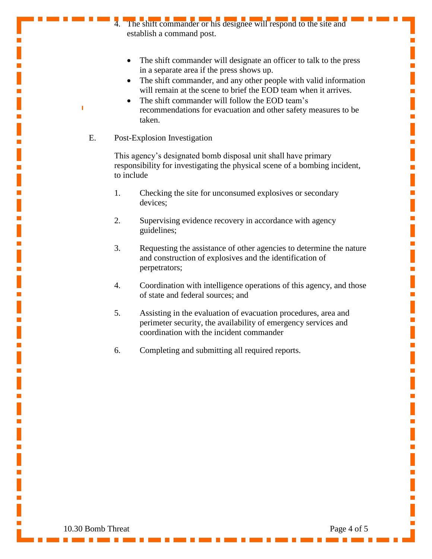- The shift commander or his designee will respond to the site and establish a command post.
	- The shift commander will designate an officer to talk to the press in a separate area if the press shows up.
	- The shift commander, and any other people with valid information will remain at the scene to brief the EOD team when it arrives.
	- The shift commander will follow the EOD team's recommendations for evacuation and other safety measures to be taken.
- E. Post-Explosion Investigation

This agency's designated bomb disposal unit shall have primary responsibility for investigating the physical scene of a bombing incident, to include

- 1. Checking the site for unconsumed explosives or secondary devices;
- 2. Supervising evidence recovery in accordance with agency guidelines;
- 3. Requesting the assistance of other agencies to determine the nature and construction of explosives and the identification of perpetrators;
- 4. Coordination with intelligence operations of this agency, and those of state and federal sources; and
- 5. Assisting in the evaluation of evacuation procedures, area and perimeter security, the availability of emergency services and coordination with the incident commander
- 6. Completing and submitting all required reports.

Ē.

Ē.

L.

Ē.

L.

Ē.

L.

п

L.

п